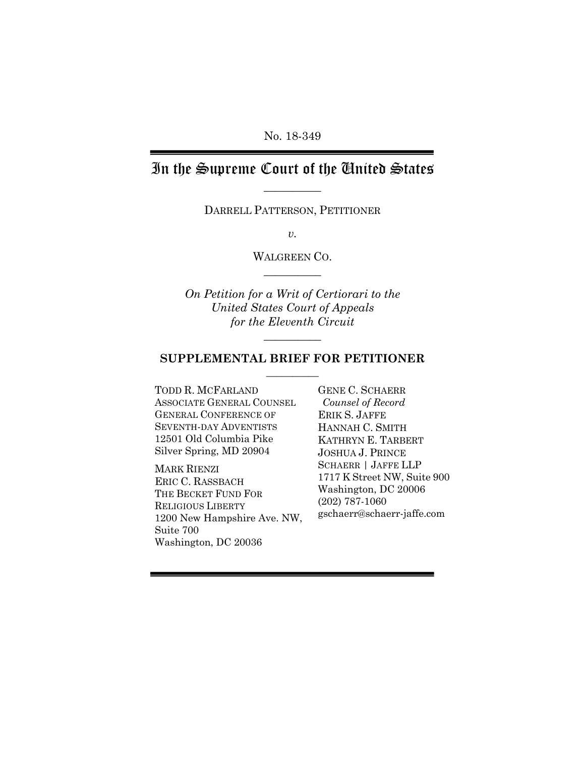No. 18-349

# In the Supreme Court of the United States **\_\_\_\_\_\_\_\_\_\_**

DARRELL PATTERSON, PETITIONER

*v.*

WALGREEN CO. **\_\_\_\_\_\_\_\_\_\_**

*On Petition for a Writ of Certiorari to the United States Court of Appeals for the Eleventh Circuit*

#### **SUPPLEMENTAL BRIEF FOR PETITIONER**  $\frac{1}{2}$

 $\overline{\phantom{a}}$ 

TODD R. MCFARLAND GENE C. SCHAERR ASSOCIATE GENERAL COUNSEL GENERAL CONFERENCE OF SEVENTH-DAY ADVENTISTS 12501 Old Columbia Pike Silver Spring, MD 20904

MARK RIENZI ERIC C. RASSBACH THE BECKET FUND FOR RELIGIOUS LIBERTY 1200 New Hampshire Ave. NW, Suite 700 Washington, DC 20036

 *Counsel of Record* ERIK S. JAFFE HANNAH C. SMITH KATHRYN E. TARBERT JOSHUA J. PRINCE SCHAERR | JAFFE LLP 1717 K Street NW, Suite 900 Washington, DC 20006 (202) 787-1060 gschaerr@schaerr-jaffe.com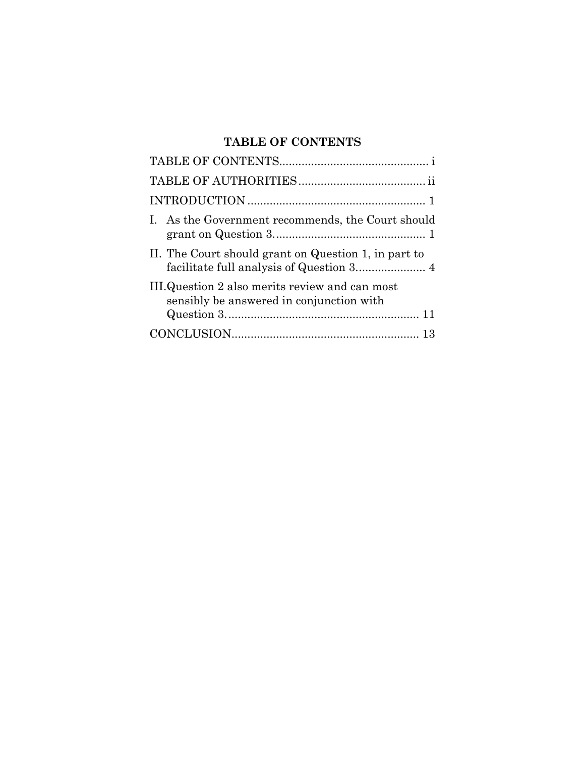## **TABLE OF CONTENTS**

| I. As the Government recommends, the Court should                                           |
|---------------------------------------------------------------------------------------------|
| II. The Court should grant on Question 1, in part to                                        |
| III. Question 2 also merits review and can most<br>sensibly be answered in conjunction with |
|                                                                                             |
|                                                                                             |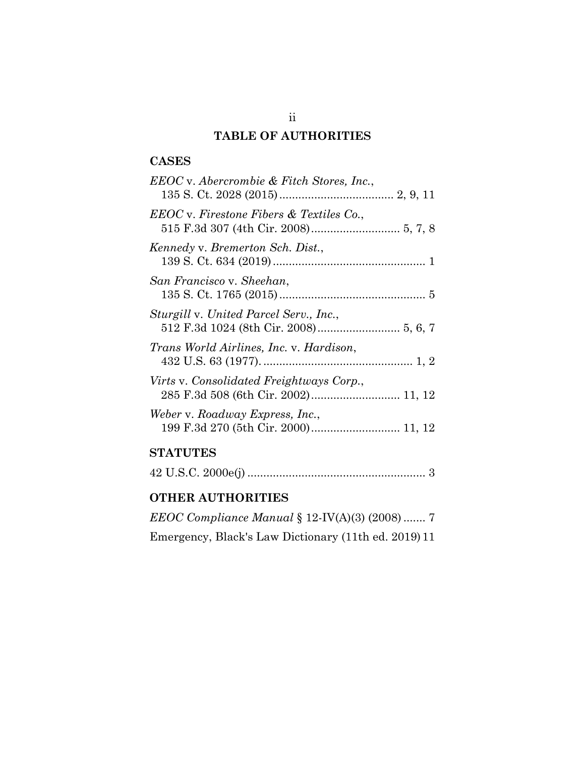### **TABLE OF AUTHORITIES**

### **CASES**

| EEOC v. Abercrombie & Fitch Stores, Inc., |
|-------------------------------------------|
| EEOC v. Firestone Fibers & Textiles Co.,  |
| Kennedy v. Bremerton Sch. Dist.,          |
| San Francisco v. Sheehan,                 |
| Sturgill v. United Parcel Serv., Inc.,    |
| Trans World Airlines, Inc. v. Hardison,   |
| Virts v. Consolidated Freightways Corp.,  |
| Weber v. Roadway Express, Inc.,           |
|                                           |

# **STATUTES**

|--|--|--|--|--|

## **OTHER AUTHORITIES**

| <i>EEOC Compliance Manual</i> $\S 12$ -IV(A)(3) (2008)  7 |  |
|-----------------------------------------------------------|--|
| Emergency, Black's Law Dictionary (11th ed. 2019) 11      |  |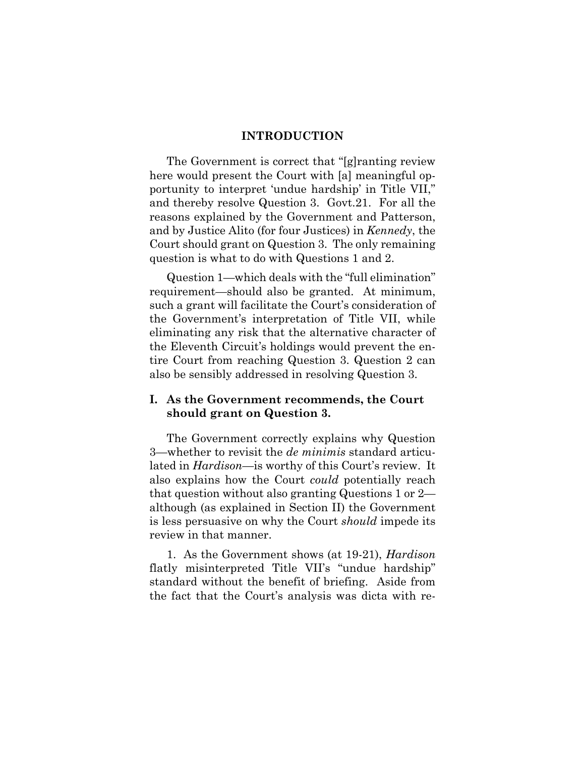#### **INTRODUCTION**

The Government is correct that "[g]ranting review here would present the Court with [a] meaningful opportunity to interpret 'undue hardship' in Title VII," and thereby resolve Question 3. Govt.21. For all the reasons explained by the Government and Patterson, and by Justice Alito (for four Justices) in *Kennedy*, the Court should grant on Question 3. The only remaining question is what to do with Questions 1 and 2.

Question 1—which deals with the "full elimination" requirement—should also be granted. At minimum, such a grant will facilitate the Court's consideration of the Government's interpretation of Title VII, while eliminating any risk that the alternative character of the Eleventh Circuit's holdings would prevent the entire Court from reaching Question 3. Question 2 can also be sensibly addressed in resolving Question 3.

#### **I. As the Government recommends, the Court should grant on Question 3.**

The Government correctly explains why Question 3—whether to revisit the *de minimis* standard articulated in *Hardison*—is worthy of this Court's review. It also explains how the Court *could* potentially reach that question without also granting Questions 1 or 2 although (as explained in Section II) the Government is less persuasive on why the Court *should* impede its review in that manner.

1. As the Government shows (at 19-21), *Hardison* flatly misinterpreted Title VII's "undue hardship" standard without the benefit of briefing. Aside from the fact that the Court's analysis was dicta with re-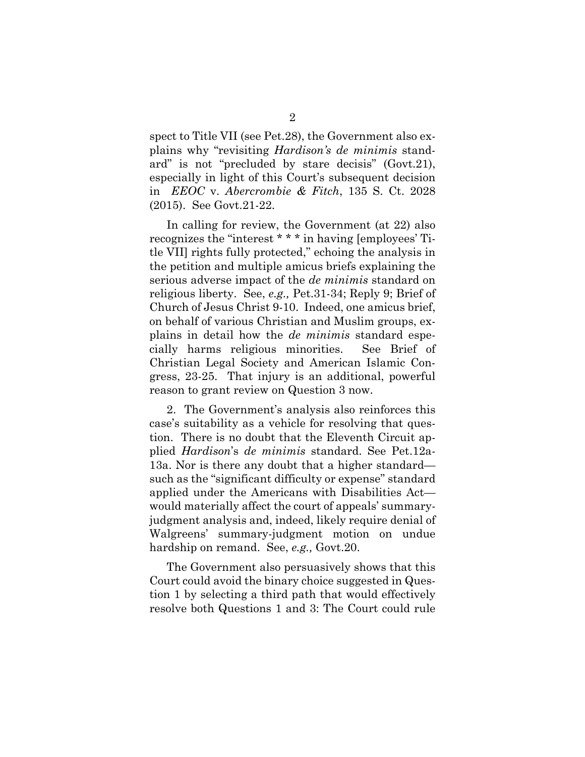spect to Title VII (see Pet.28), the Government also explains why "revisiting *Hardison's de minimis* standard" is not "precluded by stare decisis" (Govt.21), especially in light of this Court's subsequent decision in *EEOC* v. *Abercrombie & Fitch*, 135 S. Ct. 2028 (2015). See Govt.21-22.

In calling for review, the Government (at 22) also recognizes the "interest \* \* \* in having [employees' Title VII] rights fully protected," echoing the analysis in the petition and multiple amicus briefs explaining the serious adverse impact of the *de minimis* standard on religious liberty. See, *e.g.,* Pet.31-34; Reply 9; Brief of Church of Jesus Christ 9-10. Indeed, one amicus brief, on behalf of various Christian and Muslim groups, explains in detail how the *de minimis* standard especially harms religious minorities. See Brief of Christian Legal Society and American Islamic Congress, 23-25. That injury is an additional, powerful reason to grant review on Question 3 now.

2. The Government's analysis also reinforces this case's suitability as a vehicle for resolving that question. There is no doubt that the Eleventh Circuit applied *Hardison*'s *de minimis* standard. See Pet.12a-13a. Nor is there any doubt that a higher standard such as the "significant difficulty or expense" standard applied under the Americans with Disabilities Act would materially affect the court of appeals' summaryjudgment analysis and, indeed, likely require denial of Walgreens' summary-judgment motion on undue hardship on remand. See, *e.g.,* Govt.20.

The Government also persuasively shows that this Court could avoid the binary choice suggested in Question 1 by selecting a third path that would effectively resolve both Questions 1 and 3: The Court could rule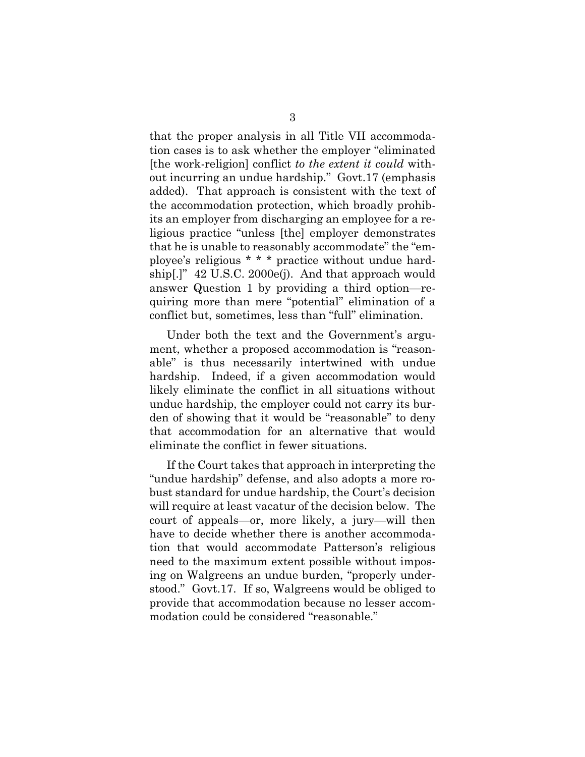that the proper analysis in all Title VII accommodation cases is to ask whether the employer "eliminated [the work-religion] conflict *to the extent it could* without incurring an undue hardship." Govt.17 (emphasis added). That approach is consistent with the text of the accommodation protection, which broadly prohibits an employer from discharging an employee for a religious practice "unless [the] employer demonstrates that he is unable to reasonably accommodate" the "employee's religious \* \* \* practice without undue hardship[.]" 42 U.S.C. 2000e(j). And that approach would answer Question 1 by providing a third option—requiring more than mere "potential" elimination of a conflict but, sometimes, less than "full" elimination.

Under both the text and the Government's argument, whether a proposed accommodation is "reasonable" is thus necessarily intertwined with undue hardship. Indeed, if a given accommodation would likely eliminate the conflict in all situations without undue hardship, the employer could not carry its burden of showing that it would be "reasonable" to deny that accommodation for an alternative that would eliminate the conflict in fewer situations.

If the Court takes that approach in interpreting the "undue hardship" defense, and also adopts a more robust standard for undue hardship, the Court's decision will require at least vacatur of the decision below. The court of appeals—or, more likely, a jury—will then have to decide whether there is another accommodation that would accommodate Patterson's religious need to the maximum extent possible without imposing on Walgreens an undue burden, "properly understood." Govt.17. If so, Walgreens would be obliged to provide that accommodation because no lesser accommodation could be considered "reasonable."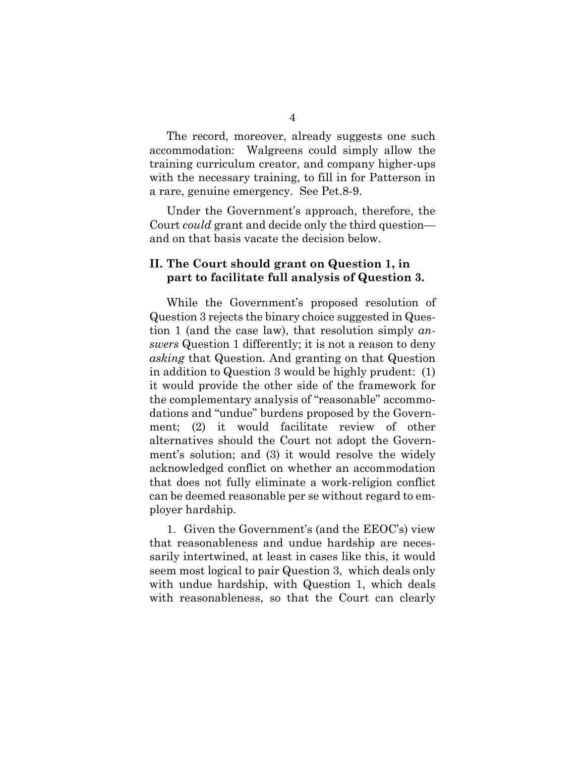The record, moreover, already suggests one such accommodation: Walgreens could simply allow the training curriculum creator, and company higher-ups with the necessary training, to fill in for Patterson in a rare, genuine emergency. See Pet.8-9.

Under the Government's approach, therefore, the Court *could* grant and decide only the third question and on that basis vacate the decision below.

### **II. The Court should grant on Question 1, in part to facilitate full analysis of Question 3.**

While the Government's proposed resolution of Question 3 rejects the binary choice suggested in Question 1 (and the case law), that resolution simply *answers* Question 1 differently; it is not a reason to deny *asking* that Question. And granting on that Question in addition to Question 3 would be highly prudent: (1) it would provide the other side of the framework for the complementary analysis of "reasonable" accommodations and "undue" burdens proposed by the Government; (2) it would facilitate review of other alternatives should the Court not adopt the Government's solution; and (3) it would resolve the widely acknowledged conflict on whether an accommodation that does not fully eliminate a work-religion conflict can be deemed reasonable per se without regard to employer hardship.

1. Given the Government's (and the EEOC's) view that reasonableness and undue hardship are necessarily intertwined, at least in cases like this, it would seem most logical to pair Question 3, which deals only with undue hardship, with Question 1, which deals with reasonableness, so that the Court can clearly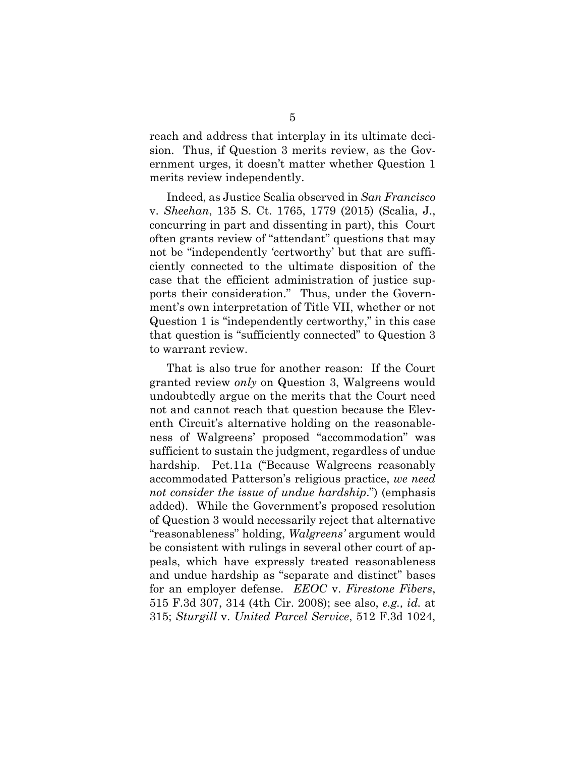reach and address that interplay in its ultimate decision. Thus, if Question 3 merits review, as the Government urges, it doesn't matter whether Question 1 merits review independently.

Indeed, as Justice Scalia observed in *San Francisco*  v. *Sheehan*, 135 S. Ct. 1765, 1779 (2015) (Scalia, J., concurring in part and dissenting in part), this Court often grants review of "attendant" questions that may not be "independently 'certworthy' but that are sufficiently connected to the ultimate disposition of the case that the efficient administration of justice supports their consideration." Thus, under the Government's own interpretation of Title VII, whether or not Question 1 is "independently certworthy," in this case that question is "sufficiently connected" to Question 3 to warrant review.

That is also true for another reason: If the Court granted review *only* on Question 3, Walgreens would undoubtedly argue on the merits that the Court need not and cannot reach that question because the Eleventh Circuit's alternative holding on the reasonableness of Walgreens' proposed "accommodation" was sufficient to sustain the judgment, regardless of undue hardship. Pet.11a ("Because Walgreens reasonably accommodated Patterson's religious practice, *we need not consider the issue of undue hardship*.") (emphasis added). While the Government's proposed resolution of Question 3 would necessarily reject that alternative "reasonableness" holding, *Walgreens'* argument would be consistent with rulings in several other court of appeals, which have expressly treated reasonableness and undue hardship as "separate and distinct" bases for an employer defense. *EEOC* v. *Firestone Fibers*, 515 F.3d 307, 314 (4th Cir. 2008); see also, *e.g., id.* at 315; *Sturgill* v. *United Parcel Service*, 512 F.3d 1024,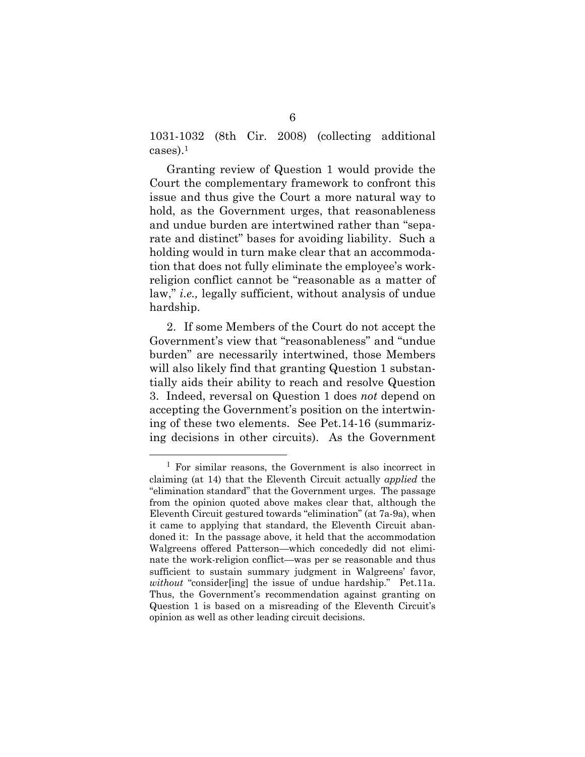1031-1032 (8th Cir. 2008) (collecting additional cases).1

Granting review of Question 1 would provide the Court the complementary framework to confront this issue and thus give the Court a more natural way to hold, as the Government urges, that reasonableness and undue burden are intertwined rather than "separate and distinct" bases for avoiding liability. Such a holding would in turn make clear that an accommodation that does not fully eliminate the employee's workreligion conflict cannot be "reasonable as a matter of law," *i.e.,* legally sufficient, without analysis of undue hardship.

2. If some Members of the Court do not accept the Government's view that "reasonableness" and "undue burden" are necessarily intertwined, those Members will also likely find that granting Question 1 substantially aids their ability to reach and resolve Question 3. Indeed, reversal on Question 1 does *not* depend on accepting the Government's position on the intertwining of these two elements. See Pet.14-16 (summarizing decisions in other circuits). As the Government

<sup>1</sup> For similar reasons, the Government is also incorrect in claiming (at 14) that the Eleventh Circuit actually *applied* the "elimination standard" that the Government urges. The passage from the opinion quoted above makes clear that, although the Eleventh Circuit gestured towards "elimination" (at 7a-9a), when it came to applying that standard, the Eleventh Circuit abandoned it: In the passage above, it held that the accommodation Walgreens offered Patterson—which concededly did not eliminate the work-religion conflict—was per se reasonable and thus sufficient to sustain summary judgment in Walgreens' favor, *without* "consider[ing] the issue of undue hardship." Pet.11a. Thus, the Government's recommendation against granting on Question 1 is based on a misreading of the Eleventh Circuit's opinion as well as other leading circuit decisions.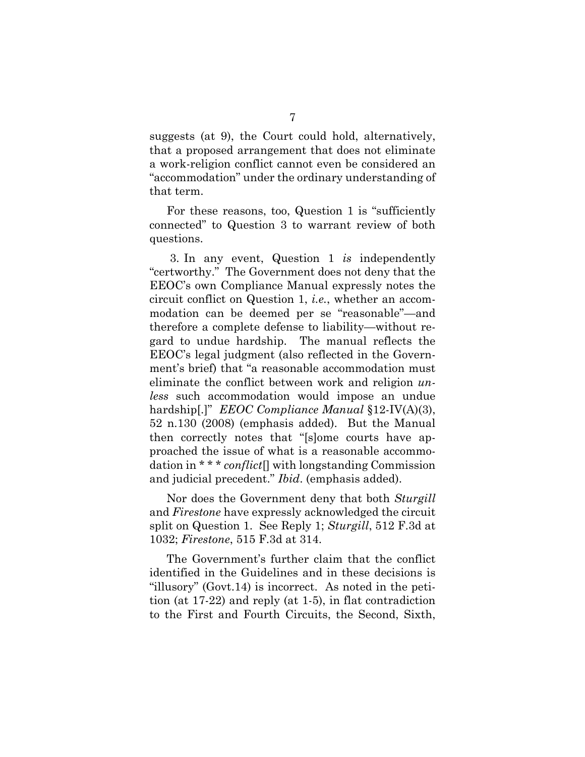suggests (at 9), the Court could hold, alternatively, that a proposed arrangement that does not eliminate a work-religion conflict cannot even be considered an "accommodation" under the ordinary understanding of that term.

For these reasons, too, Question 1 is "sufficiently connected" to Question 3 to warrant review of both questions.

3. In any event, Question 1 *is* independently "certworthy." The Government does not deny that the EEOC's own Compliance Manual expressly notes the circuit conflict on Question 1, *i.e.*, whether an accommodation can be deemed per se "reasonable"—and therefore a complete defense to liability—without regard to undue hardship. The manual reflects the EEOC's legal judgment (also reflected in the Government's brief) that "a reasonable accommodation must eliminate the conflict between work and religion *unless* such accommodation would impose an undue hardship[.]" *EEOC Compliance Manual* §12-IV(A)(3), 52 n.130 (2008) (emphasis added). But the Manual then correctly notes that "[s]ome courts have approached the issue of what is a reasonable accommodation in \* \* \* *conflict*[] with longstanding Commission and judicial precedent." *Ibid*. (emphasis added).

Nor does the Government deny that both *Sturgill*  and *Firestone* have expressly acknowledged the circuit split on Question 1. See Reply 1; *Sturgill*, 512 F.3d at 1032; *Firestone*, 515 F.3d at 314.

The Government's further claim that the conflict identified in the Guidelines and in these decisions is "illusory" (Govt.14) is incorrect. As noted in the petition (at 17-22) and reply (at 1-5), in flat contradiction to the First and Fourth Circuits, the Second, Sixth,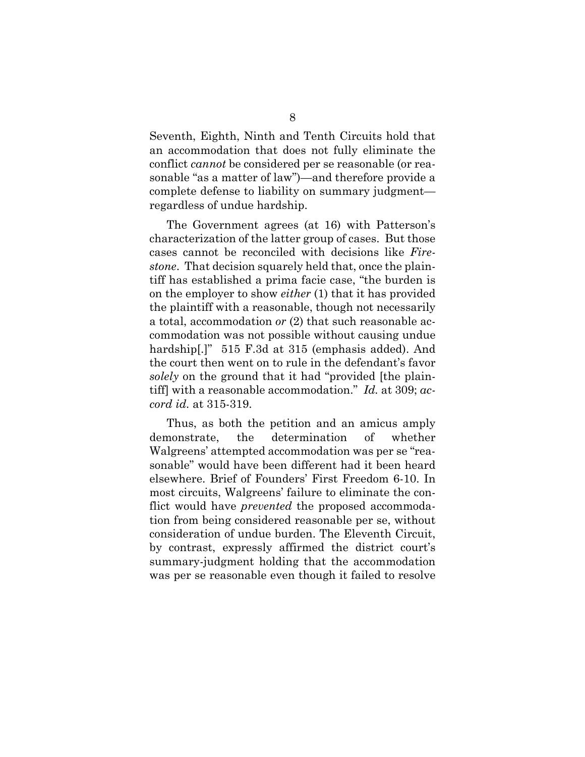Seventh, Eighth, Ninth and Tenth Circuits hold that an accommodation that does not fully eliminate the conflict *cannot* be considered per se reasonable (or reasonable "as a matter of law")—and therefore provide a complete defense to liability on summary judgment regardless of undue hardship.

The Government agrees (at 16) with Patterson's characterization of the latter group of cases. But those cases cannot be reconciled with decisions like *Firestone*. That decision squarely held that, once the plaintiff has established a prima facie case, "the burden is on the employer to show *either* (1) that it has provided the plaintiff with a reasonable, though not necessarily a total, accommodation *or* (2) that such reasonable accommodation was not possible without causing undue hardship[.]" 515 F.3d at 315 (emphasis added). And the court then went on to rule in the defendant's favor *solely* on the ground that it had "provided [the plaintiff] with a reasonable accommodation." *Id.* at 309; *accord id.* at 315-319.

Thus, as both the petition and an amicus amply demonstrate, the determination of whether Walgreens' attempted accommodation was per se "reasonable" would have been different had it been heard elsewhere. Brief of Founders' First Freedom 6-10. In most circuits, Walgreens' failure to eliminate the conflict would have *prevented* the proposed accommodation from being considered reasonable per se, without consideration of undue burden. The Eleventh Circuit, by contrast, expressly affirmed the district court's summary-judgment holding that the accommodation was per se reasonable even though it failed to resolve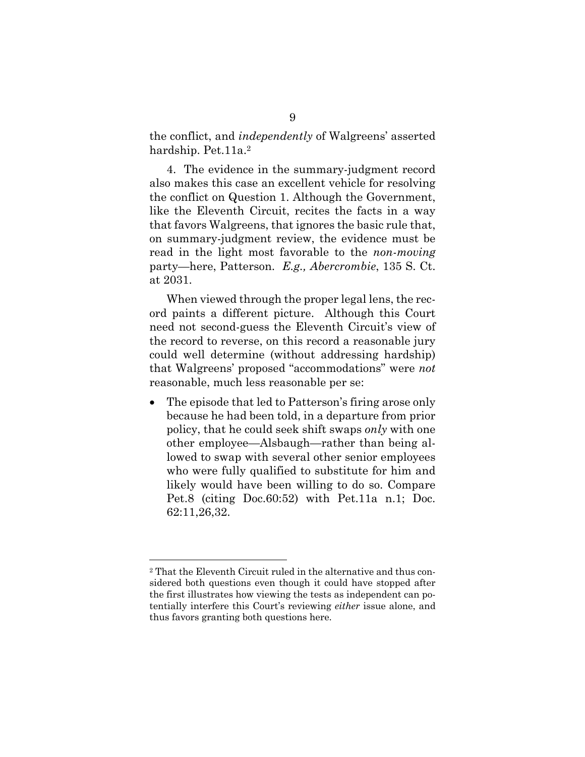the conflict, and *independently* of Walgreens' asserted hardship. Pet. 11a.<sup>2</sup>

4. The evidence in the summary-judgment record also makes this case an excellent vehicle for resolving the conflict on Question 1. Although the Government, like the Eleventh Circuit, recites the facts in a way that favors Walgreens, that ignores the basic rule that, on summary-judgment review, the evidence must be read in the light most favorable to the *non-moving*  party—here, Patterson. *E.g., Abercrombie*, 135 S. Ct. at 2031.

When viewed through the proper legal lens, the record paints a different picture. Although this Court need not second-guess the Eleventh Circuit's view of the record to reverse, on this record a reasonable jury could well determine (without addressing hardship) that Walgreens' proposed "accommodations" were *not* reasonable, much less reasonable per se:

• The episode that led to Patterson's firing arose only because he had been told, in a departure from prior policy, that he could seek shift swaps *only* with one other employee—Alsbaugh—rather than being allowed to swap with several other senior employees who were fully qualified to substitute for him and likely would have been willing to do so. Compare Pet.8 (citing Doc.60:52) with Pet.11a n.1; Doc. 62:11,26,32.

<sup>2</sup> That the Eleventh Circuit ruled in the alternative and thus considered both questions even though it could have stopped after the first illustrates how viewing the tests as independent can potentially interfere this Court's reviewing *either* issue alone, and thus favors granting both questions here.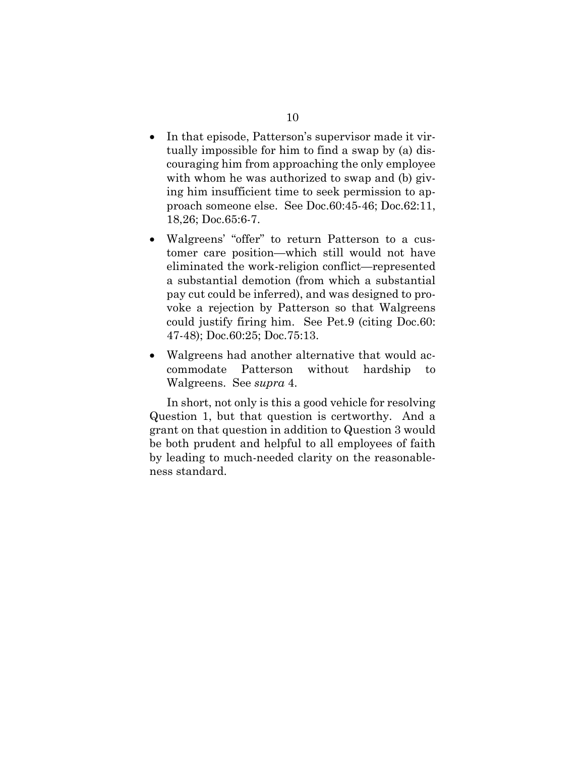- In that episode, Patterson's supervisor made it virtually impossible for him to find a swap by (a) discouraging him from approaching the only employee with whom he was authorized to swap and (b) giving him insufficient time to seek permission to approach someone else. See Doc.60:45-46; Doc.62:11, 18,26; Doc.65:6-7.
- Walgreens' "offer" to return Patterson to a customer care position—which still would not have eliminated the work-religion conflict—represented a substantial demotion (from which a substantial pay cut could be inferred), and was designed to provoke a rejection by Patterson so that Walgreens could justify firing him. See Pet.9 (citing Doc.60: 47-48); Doc.60:25; Doc.75:13.
- Walgreens had another alternative that would accommodate Patterson without hardship to Walgreens. See *supra* 4.

In short, not only is this a good vehicle for resolving Question 1, but that question is certworthy. And a grant on that question in addition to Question 3 would be both prudent and helpful to all employees of faith by leading to much-needed clarity on the reasonableness standard.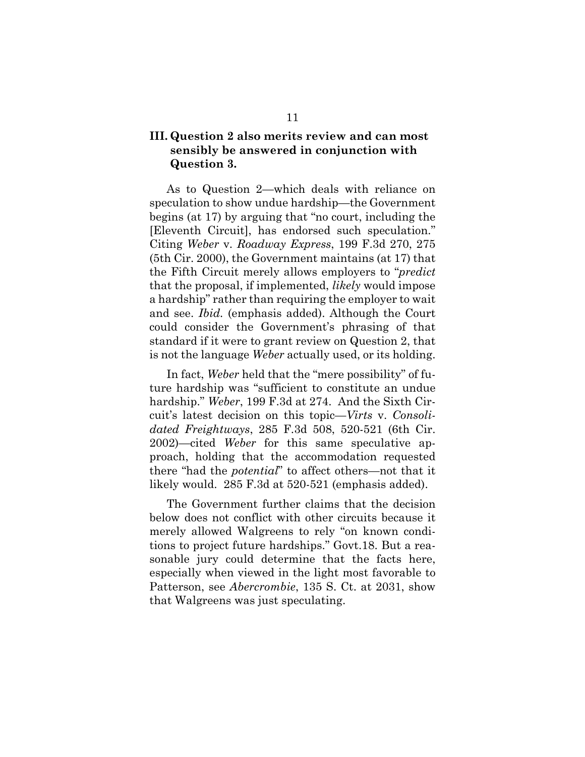### **III. Question 2 also merits review and can most sensibly be answered in conjunction with Question 3.**

As to Question 2—which deals with reliance on speculation to show undue hardship—the Government begins (at 17) by arguing that "no court, including the [Eleventh Circuit], has endorsed such speculation." Citing *Weber* v. *Roadway Express*, 199 F.3d 270, 275 (5th Cir. 2000), the Government maintains (at 17) that the Fifth Circuit merely allows employers to "*predict* that the proposal, if implemented, *likely* would impose a hardship" rather than requiring the employer to wait and see. *Ibid.* (emphasis added). Although the Court could consider the Government's phrasing of that standard if it were to grant review on Question 2, that is not the language *Weber* actually used, or its holding.

In fact, *Weber* held that the "mere possibility" of future hardship was "sufficient to constitute an undue hardship." *Weber*, 199 F.3d at 274. And the Sixth Circuit's latest decision on this topic—*Virts* v. *Consolidated Freightways*, 285 F.3d 508, 520-521 (6th Cir. 2002)—cited *Weber* for this same speculative approach, holding that the accommodation requested there "had the *potential*" to affect others—not that it likely would. 285 F.3d at 520-521 (emphasis added).

The Government further claims that the decision below does not conflict with other circuits because it merely allowed Walgreens to rely "on known conditions to project future hardships." Govt.18. But a reasonable jury could determine that the facts here, especially when viewed in the light most favorable to Patterson, see *Abercrombie*, 135 S. Ct. at 2031, show that Walgreens was just speculating.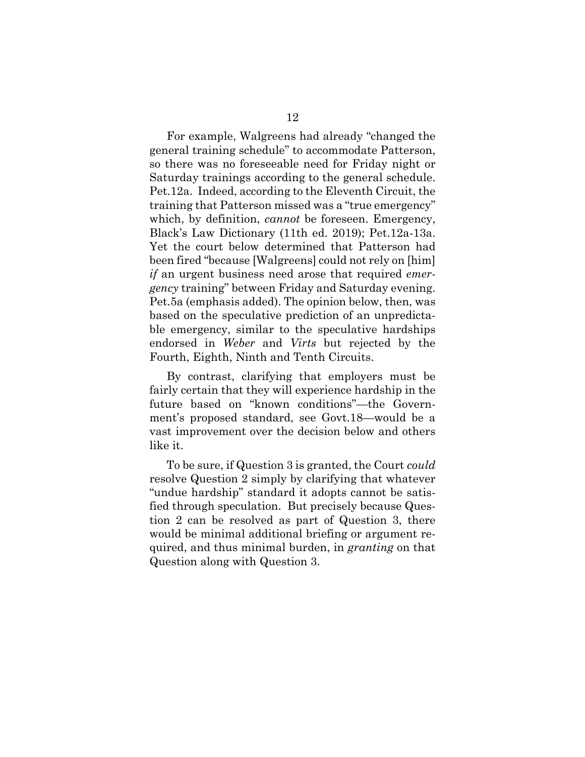For example, Walgreens had already "changed the general training schedule" to accommodate Patterson, so there was no foreseeable need for Friday night or Saturday trainings according to the general schedule. Pet.12a. Indeed, according to the Eleventh Circuit, the training that Patterson missed was a "true emergency" which, by definition, *cannot* be foreseen. Emergency, Black's Law Dictionary (11th ed. 2019); Pet.12a-13a. Yet the court below determined that Patterson had been fired "because [Walgreens] could not rely on [him] *if* an urgent business need arose that required *emergency* training" between Friday and Saturday evening. Pet.5a (emphasis added). The opinion below, then, was based on the speculative prediction of an unpredictable emergency, similar to the speculative hardships endorsed in *Weber* and *Virts* but rejected by the Fourth, Eighth, Ninth and Tenth Circuits.

By contrast, clarifying that employers must be fairly certain that they will experience hardship in the future based on "known conditions"—the Government's proposed standard, see Govt.18—would be a vast improvement over the decision below and others like it.

To be sure, if Question 3 is granted, the Court *could* resolve Question 2 simply by clarifying that whatever "undue hardship" standard it adopts cannot be satisfied through speculation. But precisely because Question 2 can be resolved as part of Question 3, there would be minimal additional briefing or argument required, and thus minimal burden, in *granting* on that Question along with Question 3.